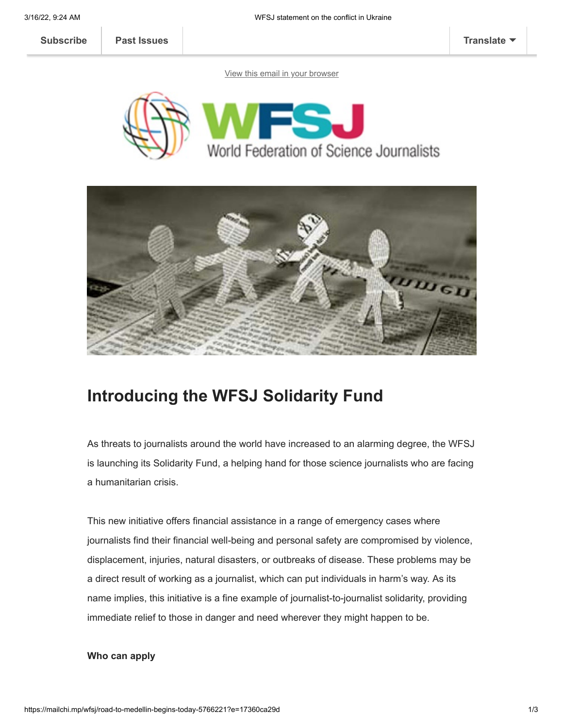**[Subscribe](http://eepurl.com/gBSAIn) [Past Issues](https://us2.campaign-archive.com/home/?u=a8d11a901ac032467f5aed649&id=6ab4679c19) [Translate](javascript:;)**

[View this email in your browser](https://mailchi.mp/wfsj/road-to-medellin-begins-today-5766221?e=17360ca29d)





# **Introducing the WFSJ Solidarity Fund**

As threats to journalists around the world have increased to an alarming degree, the WFSJ is launching its Solidarity Fund, a helping hand for those science journalists who are facing a humanitarian crisis.

This new initiative offers financial assistance in a range of emergency cases where journalists find their financial well-being and personal safety are compromised by violence, displacement, injuries, natural disasters, or outbreaks of disease. These problems may be a direct result of working as a journalist, which can put individuals in harm's way. As its name implies, this initiative is a fine example of journalist-to-journalist solidarity, providing immediate relief to those in danger and need wherever they might happen to be.

# **Who can apply**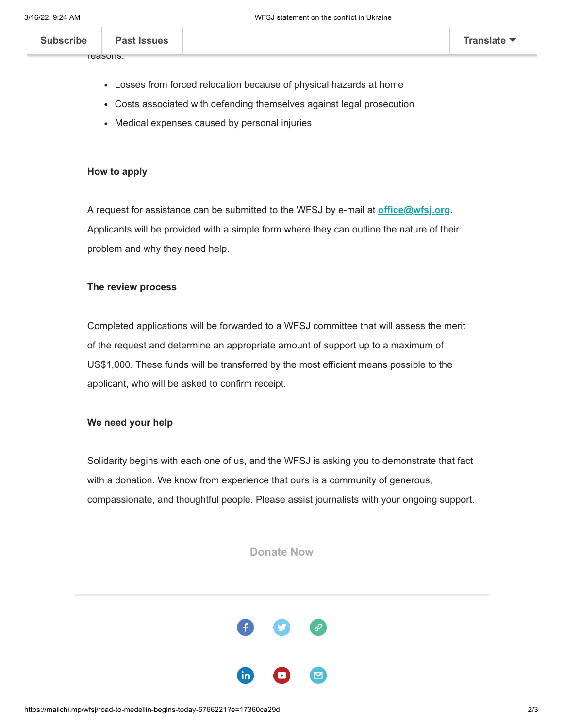$\mathsf{p}_{\mathsf{set}}$  is such that find the mass facing facing financial hardships for various for various for various for various for various for various facing for various for various for various for various for various for va **[Subscribe](http://eepurl.com/gBSAIn) Past Issues [Translate](javascript:;)**

reasons:

- Losses from forced relocation because of physical hazards at home
- Costs associated with defending themselves against legal prosecution
- Medical expenses caused by personal injuries

## **How to apply**

A request for assistance can be submitted to the WFSJ by e-mail at **[office@wfsj.org](mailto:office@wfsj.org)**. Applicants will be provided with a simple form where they can outline the nature of their problem and why they need help.

### **The review process**

Completed applications will be forwarded to a WFSJ committee that will assess the merit of the request and determine an appropriate amount of support up to a maximum of US\$1,000. These funds will be transferred by the most efficient means possible to the applicant, who will be asked to confirm receipt.

### **We need your help**

Solidarity begins with each one of us, and the WFSJ is asking you to demonstrate that fact with a donation. We know from experience that ours is a community of generous, compassionate, and thoughtful people. Please assist journalists with your ongoing support.

**[Donate Now](https://www.canadahelps.org/en/dn/71059)**